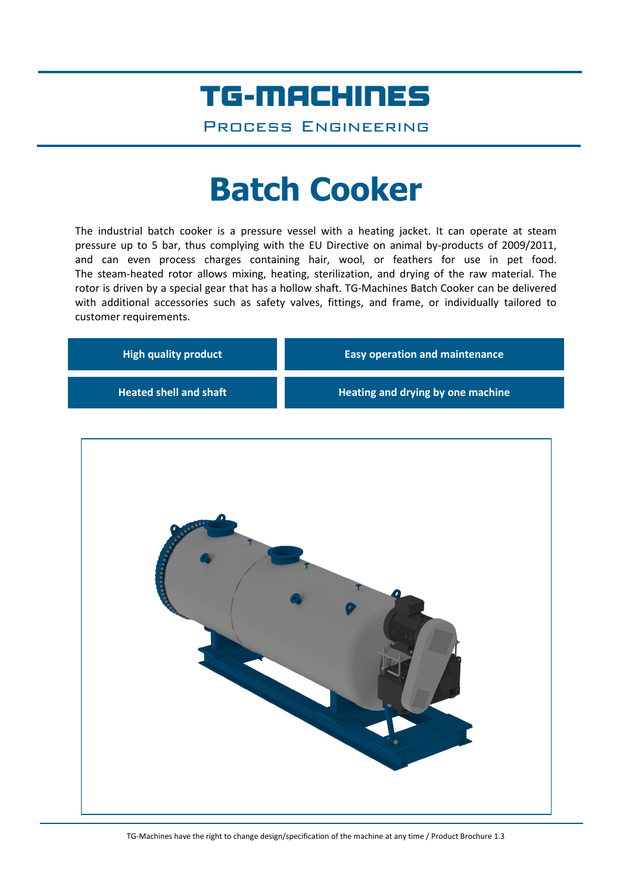## TG-MACHINES

Process Engineering

# **Batch Cooker**

The industrial batch cooker is a pressure vessel with a heating jacket. It can operate at steam pressure up to 5 bar, thus complying with the EU Directive on animal by-products of 2009/2011, and can even process charges containing hair, wool, or feathers for use in pet food. The steam-heated rotor allows mixing, heating, sterilization, and drying of the raw material. The rotor is driven by a special gear that has a hollow shaft. TG-Machines Batch Cooker can be delivered with additional accessories such as safety valves, fittings, and frame, or individually tailored to customer requirements.

| <b>High quality product</b>   | <b>Easy operation and maintenance</b> |  |
|-------------------------------|---------------------------------------|--|
| <b>Heated shell and shaft</b> | Heating and drying by one machine     |  |